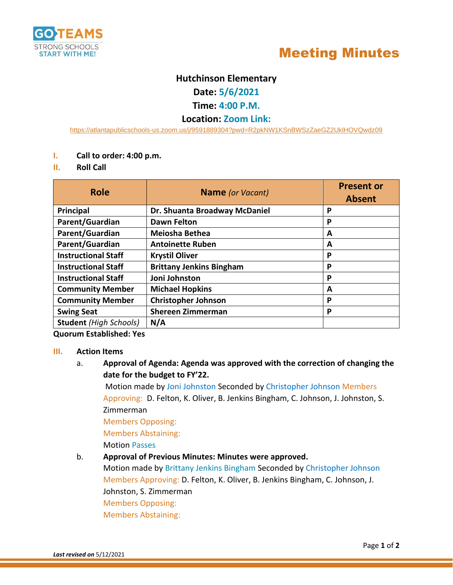



# **Hutchinson Elementary**

**Date: 5/6/2021**

## **Time: 4:00 P.M.**

## **Location: Zoom Link:**

<https://atlantapublicschools-us.zoom.us/j/9591889304?pwd=R2pkNW1KSnBWSzZaeGZ2UklHOVQwdz09>

- **I. Call to order: 4:00 p.m.**
- **II. Roll Call**

| <b>Role</b>                   | <b>Name</b> (or Vacant)         | <b>Present or</b><br><b>Absent</b> |
|-------------------------------|---------------------------------|------------------------------------|
| <b>Principal</b>              | Dr. Shuanta Broadway McDaniel   | P                                  |
| Parent/Guardian               | <b>Dawn Felton</b>              | P                                  |
| Parent/Guardian               | Meiosha Bethea                  | A                                  |
| Parent/Guardian               | <b>Antoinette Ruben</b>         | A                                  |
| <b>Instructional Staff</b>    | <b>Krystil Oliver</b>           | P                                  |
| <b>Instructional Staff</b>    | <b>Brittany Jenkins Bingham</b> | P                                  |
| <b>Instructional Staff</b>    | Joni Johnston                   | P                                  |
| <b>Community Member</b>       | <b>Michael Hopkins</b>          | A                                  |
| <b>Community Member</b>       | <b>Christopher Johnson</b>      | P                                  |
| <b>Swing Seat</b>             | <b>Shereen Zimmerman</b>        | P                                  |
| <b>Student (High Schools)</b> | N/A                             |                                    |

**Quorum Established: Yes**

### **III. Action Items**

a. **Approval of Agenda: Agenda was approved with the correction of changing the date for the budget to FY'22.**

Motion made by Joni Johnston Seconded by Christopher Johnson Members Approving: D. Felton, K. Oliver, B. Jenkins Bingham, C. Johnson, J. Johnston, S. Zimmerman

Members Opposing:

Members Abstaining:

Motion Passes

## b. **Approval of Previous Minutes: Minutes were approved.**

Motion made by Brittany Jenkins Bingham Seconded by Christopher Johnson Members Approving: D. Felton, K. Oliver, B. Jenkins Bingham, C. Johnson, J. Johnston, S. Zimmerman Members Opposing: Members Abstaining: